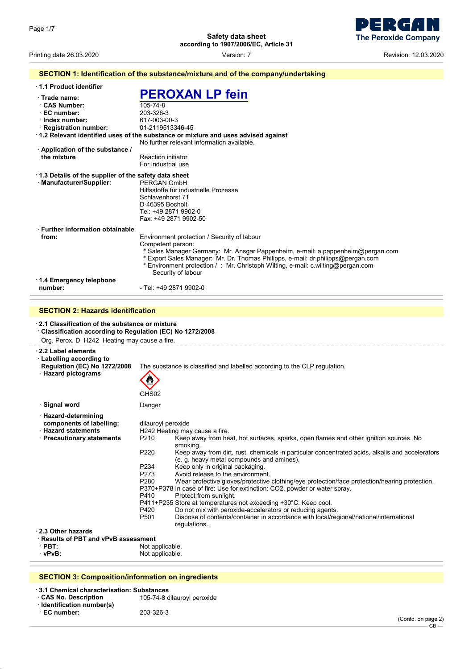

Printing date 26.03.2020 Version: 7 Revision: 12.03.2020

|                                                                                                                                                                    | SECTION 1: Identification of the substance/mixture and of the company/undertaking                                                                                                                                                                                                                                                               |
|--------------------------------------------------------------------------------------------------------------------------------------------------------------------|-------------------------------------------------------------------------------------------------------------------------------------------------------------------------------------------------------------------------------------------------------------------------------------------------------------------------------------------------|
| 1.1 Product identifier                                                                                                                                             |                                                                                                                                                                                                                                                                                                                                                 |
| Trade name:<br>⋅ CAS Number:<br>· EC number:<br>$\cdot$ Index number:<br>· Registration number:                                                                    | <b>PEROXAN LP fein</b><br>105-74-8<br>203-326-3<br>617-003-00-3<br>01-2119513346-45<br>1.2 Relevant identified uses of the substance or mixture and uses advised against                                                                                                                                                                        |
|                                                                                                                                                                    | No further relevant information available.                                                                                                                                                                                                                                                                                                      |
| Application of the substance /<br>the mixture                                                                                                                      | <b>Reaction initiator</b><br>For industrial use                                                                                                                                                                                                                                                                                                 |
| 1.3 Details of the supplier of the safety data sheet<br>· Manufacturer/Supplier:                                                                                   | PERGAN GmbH<br>Hilfsstoffe für industrielle Prozesse<br>Schlavenhorst 71<br>D-46395 Bocholt<br>Tel: +49 2871 9902-0<br>Fax: +49 2871 9902-50                                                                                                                                                                                                    |
| <b>Further information obtainable</b><br>from:                                                                                                                     | Environment protection / Security of labour<br>Competent person:<br>* Sales Manager Germany: Mr. Ansgar Pappenheim, e-mail: a.pappenheim@pergan.com<br>* Export Sales Manager: Mr. Dr. Thomas Philipps, e-mail: dr.philipps@pergan.com<br>* Environment protection /: Mr. Christoph Wilting, e-mail: c.wilting@pergan.com<br>Security of labour |
| 1.4 Emergency telephone<br>number:                                                                                                                                 | - Tel: +49 2871 9902-0                                                                                                                                                                                                                                                                                                                          |
|                                                                                                                                                                    |                                                                                                                                                                                                                                                                                                                                                 |
| <b>SECTION 2: Hazards identification</b>                                                                                                                           |                                                                                                                                                                                                                                                                                                                                                 |
| $\cdot$ 2.1 Classification of the substance or mixture<br>Classification according to Regulation (EC) No 1272/2008<br>Org. Perox. D H242 Heating may cause a fire. |                                                                                                                                                                                                                                                                                                                                                 |
| $\cdot$ 2.2 Label elements<br>· Labelling according to<br><b>Regulation (EC) No 1272/2008</b><br>· Hazard pictograms                                               | The substance is classified and labelled according to the CLP regulation.<br>GHS02                                                                                                                                                                                                                                                              |
| ∙ Signal word                                                                                                                                                      | Danger                                                                                                                                                                                                                                                                                                                                          |
| · Hazard-determining                                                                                                                                               |                                                                                                                                                                                                                                                                                                                                                 |

(e. g. heavy metal compounds and amines).

P411+P235 Store at temperatures not exceeding +30°C. Keep cool.<br>P420 Do not mix with peroxide-accelerators or reducing agent P420 Do not mix with peroxide-accelerators or reducing agents.<br>P501 Dispose of contents/container in accordance with local/reg

P370+P378 In case of fire: Use for extinction: CO2, powder or water spray.

Keep away from heat, hot surfaces, sparks, open flames and other ignition sources. No

Wear protective gloves/protective clothing/eye protection/face protection/hearing protection.

Dispose of contents/container in accordance with local/regional/national/international

P220 Keep away from dirt, rust, chemicals in particular concentrated acids, alkalis and accelerators

· **2.3 Other hazards**

· **Results of PBT and vPvB assessment PBT:** Not applicable.<br> **VPVB:** Not applicable. Not applicable.

**components of labelling:** dilauroyl peroxide

· **Hazard statements** H242 Heating may cause a fire.

smoking.

regulations.

P234 Keep only in original packaging.<br>P273 Avoid release to the environmer P273 Avoid release to the environment.<br>P280 Wear protective gloves/protective

Protect from sunlight.

#### **SECTION 3: Composition/information on ingredients**

| 3.1 Chemical characterisation: Substances |                             |
|-------------------------------------------|-----------------------------|
| CAS No. Description                       | 105-74-8 dilauroyl peroxide |
| · Identification number(s)                |                             |
| ∙ EC number:                              | 203-326-3                   |
|                                           |                             |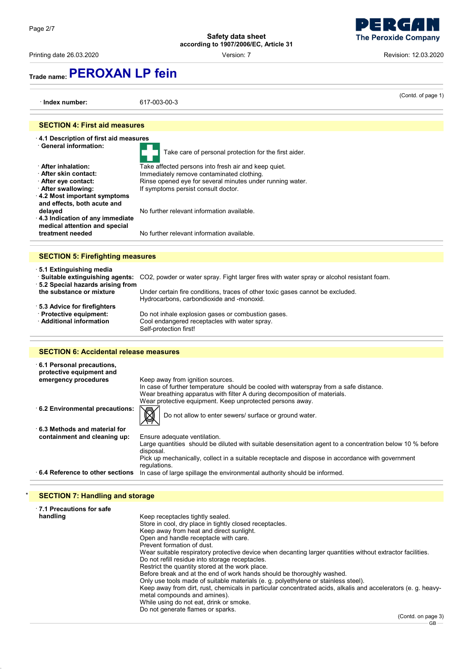Printing date 26.03.2020 **Printing date 26.03.2020** Cersion: 7 **Revision: 12.03.2020** Revision: 12.03.2020

## **Trade name:PEROXAN LP fein**

(Contd. of page 1) · **Index number:** 617-003-00-3 **SECTION 4: First aid measures** · **4.1 Description of first aid measures** Take care of personal protection for the first aider. · **After inhalation:** Take affected persons into fresh air and keep quiet. · **After skin contact:** Immediately remove contaminated clothing. Rinse opened eye for several minutes under running water. After swallowing: **If symptoms persist consult doctor.** · **4.2 Most important symptoms and effects, both acute and** delayed **delayed** No further relevant information available. · **4.3 Indication of any immediate medical attention and special** No further relevant information available. **SECTION 5: Firefighting measures** · **5.1 Extinguishing media** · **Suitable extinguishing agents:** CO2, powder or water spray. Fight larger fires with water spray or alcohol resistant foam. · **5.2 Special hazards arising from the substance or mixture** Under certain fire conditions, traces of other toxic gases cannot be excluded. Hydrocarbons, carbondioxide and -monoxid. · **5.3 Advice for firefighters** · **Protective equipment:** Do not inhale explosion gases or combustion gases. Cool endangered receptacles with water spray. Self-protection first! **SECTION 6: Accidental release measures** · **6.1 Personal precautions, protective equipment and** Keep away from ignition sources. In case of further temperature should be cooled with waterspray from a safe distance. Wear breathing apparatus with filter A during decomposition of materials. Wear protective equipment. Keep unprotected persons away. **6.2 Environmental precautions:**  $\sqrt{M}$  Do not allow to enter sewers/ surface or ground water. · **6.3 Methods and material for containment and cleaning up:** Ensure adequate ventilation. Large quantities should be diluted with suitable desensitation agent to a concentration below 10 % before disposal. Pick up mechanically, collect in a suitable receptacle and dispose in accordance with government regulations. · **6.4 Reference to other sections** In case of large spillage the environmental authority should be informed.

### **SECTION 7: Handling and storage**

| ⋅7.1 Precautions for safe |                                                                                                               |
|---------------------------|---------------------------------------------------------------------------------------------------------------|
| handling                  | Keep receptacles tightly sealed.                                                                              |
|                           | Store in cool, dry place in tightly closed receptacles.                                                       |
|                           | Keep away from heat and direct sunlight.                                                                      |
|                           | Open and handle receptacle with care.                                                                         |
|                           | Prevent formation of dust                                                                                     |
|                           | Wear suitable respiratory protective device when decanting larger quantities without extractor facilities.    |
|                           | Do not refill residue into storage receptacles.                                                               |
|                           | Restrict the quantity stored at the work place.                                                               |
|                           | Before break and at the end of work hands should be thoroughly washed.                                        |
|                           | Only use tools made of suitable materials (e. g. polyethylene or stainless steel).                            |
|                           | Keep away from dirt, rust, chemicals in particular concentrated acids, alkalis and accelerators (e. q. heavy- |
|                           | metal compounds and amines).                                                                                  |
|                           | While using do not eat, drink or smoke.                                                                       |
|                           | Do not generate flames or sparks.                                                                             |

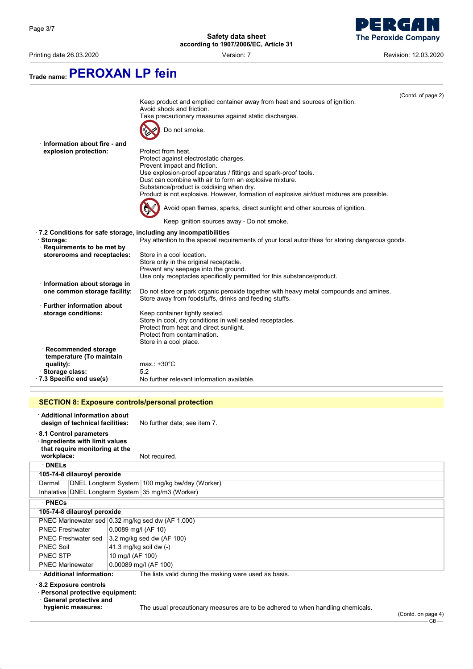

Printing date 26.03.2020 Version: 7 Revision: 12.03.2020

| Trade name: PEROXAN LP fein                                       |                                                                                                                                                 |
|-------------------------------------------------------------------|-------------------------------------------------------------------------------------------------------------------------------------------------|
|                                                                   | (Contd. of page 2)                                                                                                                              |
|                                                                   | Keep product and emptied container away from heat and sources of ignition.                                                                      |
|                                                                   | Avoid shock and friction.                                                                                                                       |
|                                                                   | Take precautionary measures against static discharges.                                                                                          |
|                                                                   | Do not smoke.                                                                                                                                   |
| Information about fire - and                                      |                                                                                                                                                 |
| explosion protection:                                             | Protect from heat.                                                                                                                              |
|                                                                   | Protect against electrostatic charges.                                                                                                          |
|                                                                   | Prevent impact and friction.                                                                                                                    |
|                                                                   | Use explosion-proof apparatus / fittings and spark-proof tools.                                                                                 |
|                                                                   | Dust can combine with air to form an explosive mixture.                                                                                         |
|                                                                   | Substance/product is oxidising when dry.                                                                                                        |
|                                                                   | Product is not explosive. However, formation of explosive air/dust mixtures are possible.                                                       |
|                                                                   | Avoid open flames, sparks, direct sunlight and other sources of ignition.                                                                       |
|                                                                   | Keep ignition sources away - Do not smoke.                                                                                                      |
| .7.2 Conditions for safe storage, including any incompatibilities |                                                                                                                                                 |
| · Storage:                                                        | Pay attention to the special requirements of your local autorithies for storing dangerous goods.                                                |
| Requirements to be met by                                         |                                                                                                                                                 |
| storerooms and receptacles:                                       | Store in a cool location.                                                                                                                       |
|                                                                   | Store only in the original receptacle.                                                                                                          |
|                                                                   | Prevent any seepage into the ground.                                                                                                            |
|                                                                   | Use only receptacles specifically permitted for this substance/product.                                                                         |
| Information about storage in                                      |                                                                                                                                                 |
| one common storage facility:                                      | Do not store or park organic peroxide together with heavy metal compounds and amines.<br>Store away from foodstuffs, drinks and feeding stuffs. |
| $\cdot$ Further information about                                 |                                                                                                                                                 |
| storage conditions:                                               | Keep container tightly sealed.                                                                                                                  |
|                                                                   | Store in cool, dry conditions in well sealed receptacles.                                                                                       |
|                                                                   | Protect from heat and direct sunlight.                                                                                                          |
|                                                                   | Protect from contamination.                                                                                                                     |
|                                                                   | Store in a cool place.                                                                                                                          |
| · Recommended storage                                             |                                                                                                                                                 |
| temperature (To maintain                                          |                                                                                                                                                 |
| quality):                                                         | $max.: +30^{\circ}C$                                                                                                                            |
| · Storage class:                                                  | 5.2                                                                                                                                             |
| .7.3 Specific end use(s)                                          | No further relevant information available.                                                                                                      |
|                                                                   |                                                                                                                                                 |
| <b>SECTION 8: Exposure controls/personal protection</b>           |                                                                                                                                                 |

| · Additional information about<br>design of technical facilities:                         | No further data; see item 7.                                                                            |  |
|-------------------------------------------------------------------------------------------|---------------------------------------------------------------------------------------------------------|--|
| 8.1 Control parameters<br>Ingredients with limit values<br>that require monitoring at the |                                                                                                         |  |
| workplace:                                                                                | Not required.                                                                                           |  |
| $\cdot$ DNELs                                                                             |                                                                                                         |  |
| 105-74-8 dilauroyl peroxide                                                               |                                                                                                         |  |
| Dermal                                                                                    | DNEL Longterm System 100 mg/kg bw/day (Worker)                                                          |  |
|                                                                                           | Inhalative DNEL Longterm System 35 mg/m3 (Worker)                                                       |  |
| $\cdot$ PNECs                                                                             |                                                                                                         |  |
| 105-74-8 dilauroyl peroxide                                                               |                                                                                                         |  |
|                                                                                           | PNEC Marinewater sed 0.32 mg/kg sed dw (AF 1.000)                                                       |  |
| <b>PNEC Freshwater</b>                                                                    | $0.0089$ mg/l (AF 10)                                                                                   |  |
| <b>PNEC Freshwater sed</b>                                                                | 3.2 mg/kg sed dw (AF 100)                                                                               |  |
| <b>PNEC Soil</b>                                                                          | 41.3 mg/kg soil dw (-)                                                                                  |  |
| PNEC STP                                                                                  | 10 mg/l (AF 100)                                                                                        |  |
| <b>PNEC Marinewater</b>                                                                   | 0.00089 mg/l (AF 100)                                                                                   |  |
| · Additional information:                                                                 | The lists valid during the making were used as basis.                                                   |  |
| 8.2 Exposure controls<br>· Personal protective equipment:<br>General protective and       |                                                                                                         |  |
| hygienic measures:                                                                        | The usual precautionary measures are to be adhered to when handling chemicals.<br>$\sqrt{2}$ $\sqrt{2}$ |  |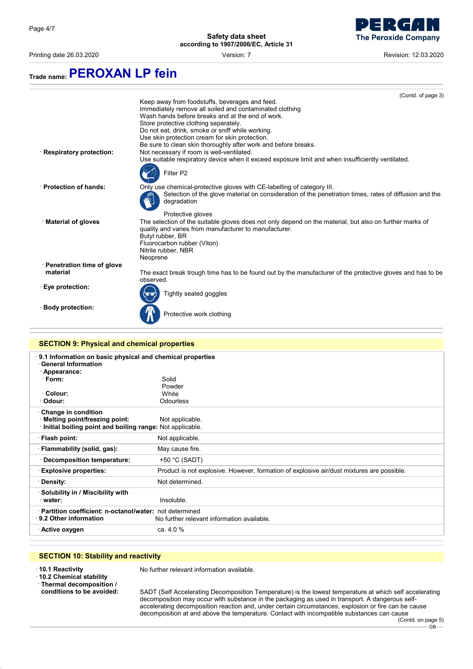$\equiv$ 

**Safety data sheet according to 1907/2006/EC, Article 31**

Printing date 26.03.2020 Version: 7 Revision: 12.03.2020

- 7  $\Box$ 

**The Peroxide Company** 

# **Trade name:PEROXAN LP fein**

|                                                    | (Contd. of page 3)                                                                                                                                               |
|----------------------------------------------------|------------------------------------------------------------------------------------------------------------------------------------------------------------------|
|                                                    | Keep away from foodstuffs, beverages and feed.                                                                                                                   |
|                                                    | Immediately remove all soiled and contaminated clothing                                                                                                          |
|                                                    | Wash hands before breaks and at the end of work.                                                                                                                 |
|                                                    | Store protective clothing separately.                                                                                                                            |
|                                                    | Do not eat, drink, smoke or sniff while working.                                                                                                                 |
|                                                    | Use skin protection cream for skin protection.                                                                                                                   |
|                                                    | Be sure to clean skin thoroughly after work and before breaks.                                                                                                   |
| <b>Respiratory protection:</b>                     | Not necessary if room is well-ventilated.                                                                                                                        |
|                                                    | Use suitable respiratory device when it exceed exposure limit and when insufficiently ventilated.                                                                |
|                                                    | Filter P2                                                                                                                                                        |
| · Protection of hands:                             | Only use chemical-protective gloves with CE-labelling of category III.                                                                                           |
|                                                    | Selection of the glove material on consideration of the penetration times, rates of diffusion and the<br>degradation                                             |
|                                                    | Protective gloves                                                                                                                                                |
| · Material of gloves                               | The selection of the suitable gloves does not only depend on the material, but also on further marks of<br>quality and varies from manufacturer to manufacturer. |
|                                                    | Butyl rubber, BR                                                                                                                                                 |
|                                                    | Fluorocarbon rubber (Viton)                                                                                                                                      |
|                                                    | Nitrile rubber, NBR                                                                                                                                              |
|                                                    | Neoprene                                                                                                                                                         |
| · Penetration time of glove                        |                                                                                                                                                                  |
| material                                           | The exact break trough time has to be found out by the manufacturer of the protective gloves and has to be                                                       |
|                                                    | observed.                                                                                                                                                        |
| ⋅ Eye protection:                                  |                                                                                                                                                                  |
|                                                    | Tightly sealed goggles                                                                                                                                           |
| · Body protection:                                 |                                                                                                                                                                  |
|                                                    | Protective work clothing                                                                                                                                         |
|                                                    |                                                                                                                                                                  |
|                                                    |                                                                                                                                                                  |
| <b>SECTION 9: Physical and chemical properties</b> |                                                                                                                                                                  |

| <u>SECTION 9. Filipsical and chemical properties</u>                                                                                       |                                                                                           |  |
|--------------------------------------------------------------------------------------------------------------------------------------------|-------------------------------------------------------------------------------------------|--|
| 9.1 Information on basic physical and chemical properties<br><b>General Information</b><br>· Appearance:<br>· Form:<br>Colour:<br>· Odour: | Solid<br>Powder<br>White<br><b>Odourless</b>                                              |  |
| Change in condition<br>· Melting point/freezing point:<br>Initial boiling point and boiling range: Not applicable.                         | Not applicable.                                                                           |  |
| · Flash point:                                                                                                                             | Not applicable.                                                                           |  |
| · Flammability (solid, gas):                                                                                                               | May cause fire.                                                                           |  |
| Decomposition temperature:                                                                                                                 | $+50$ °C (SADT)                                                                           |  |
| <b>Explosive properties:</b>                                                                                                               | Product is not explosive. However, formation of explosive air/dust mixtures are possible. |  |
| · Density:                                                                                                                                 | Not determined.                                                                           |  |
| Solubility in / Miscibility with<br>water:                                                                                                 | Insoluble.                                                                                |  |
| · Partition coefficient: n-octanol/water: not determined<br>$\cdot$ 9.2 Other information                                                  | No further relevant information available.                                                |  |
| · Active oxygen                                                                                                                            | ca. 4.0 %                                                                                 |  |
|                                                                                                                                            |                                                                                           |  |

### **SECTION 10: Stability and reactivity**

· **10.2 Chemical stability**

· **Thermal decomposition /**

No further relevant information available.

**conditions to be avoided:** SADT (Self Accelerating Decomposition Temperature) is the lowest temperature at which self accelerating decomposition may occur with substance in the packaging as used in transport. A dangerous selfaccelerating decomposition reaction and, under certain circumstances, explosion or fire can be cause decomposition at and above the temperature. Contact with incompatible substances can cause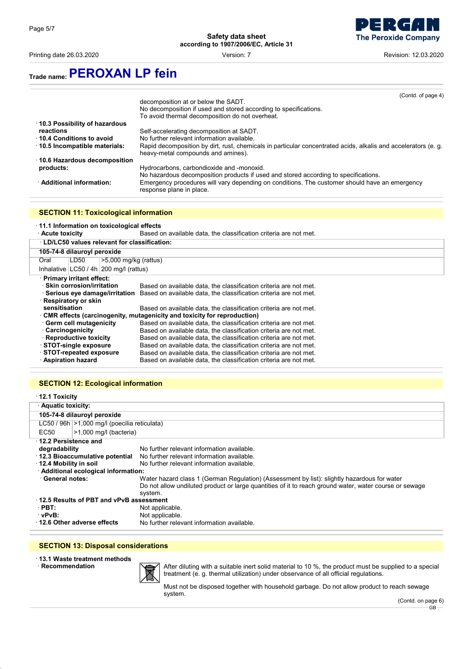Printing date 26.03.2020 Version: 7 Revision: 12.03.2020



## **Trade name:PEROXAN LP fein**

|                                | (Contd. of page 4)                                                                                                        |
|--------------------------------|---------------------------------------------------------------------------------------------------------------------------|
|                                | decomposition at or below the SADT.                                                                                       |
|                                | No decomposition if used and stored according to specifications.                                                          |
|                                | To avoid thermal decomposition do not overheat.                                                                           |
| 10.3 Possibility of hazardous  |                                                                                                                           |
| reactions                      | Self-accelerating decomposition at SADT.                                                                                  |
| 10.4 Conditions to avoid       | No further relevant information available.                                                                                |
| ⋅ 10.5 Incompatible materials: | Rapid decomposition by dirt, rust, chemicals in particular concentrated acids, alkalis and accelerators (e. g.            |
|                                | heavy-metal compounds and amines).                                                                                        |
| ⋅ 10.6 Hazardous decomposition |                                                                                                                           |
| products:                      | Hydrocarbons, carbondioxide and -monoxid.                                                                                 |
|                                | No hazardous decomposition products if used and stored according to specifications.                                       |
| · Additional information:      | Emergency procedures will vary depending on conditions. The customer should have an emergency<br>response plane in place. |
|                                |                                                                                                                           |

#### **SECTION 11: Toxicological information**

#### · **11.1 Information on toxicological effects**

· **Acute toxicity** Based on available data, the classification criteria are not met.

| · LD/LC50 values relevant for classification:                           |                                                                                                 |  |
|-------------------------------------------------------------------------|-------------------------------------------------------------------------------------------------|--|
| 105-74-8 dilauroyl peroxide                                             |                                                                                                 |  |
| $\ge$ 5,000 mg/kg (rattus)<br>Oral<br>LD50                              |                                                                                                 |  |
| Inhalative $ LC50/4h 200$ mg/l (rattus)                                 |                                                                                                 |  |
| · Primary irritant effect:                                              |                                                                                                 |  |
| · Skin corrosion/irritation                                             | Based on available data, the classification criteria are not met.                               |  |
|                                                                         | Serious eye damage/irritation Based on available data, the classification criteria are not met. |  |
| · Respiratory or skin                                                   |                                                                                                 |  |
| sensitisation                                                           | Based on available data, the classification criteria are not met.                               |  |
| CMR effects (carcinogenity, mutagenicity and toxicity for reproduction) |                                                                                                 |  |
| · Germ cell mutagenicity                                                | Based on available data, the classification criteria are not met.                               |  |
| · Carcinogenicity                                                       | Based on available data, the classification criteria are not met.                               |  |
| · Reproductive toxicity                                                 | Based on available data, the classification criteria are not met.                               |  |
| STOT-single exposure                                                    | Based on available data, the classification criteria are not met.                               |  |
| STOT-repeated exposure                                                  | Based on available data, the classification criteria are not met.                               |  |
| · Aspiration hazard                                                     | Based on available data, the classification criteria are not met.                               |  |

#### **SECTION 12: Ecological information**

| $\cdot$ 12.1 Toxicity                                               |                                                 |                                                                                                        |
|---------------------------------------------------------------------|-------------------------------------------------|--------------------------------------------------------------------------------------------------------|
| · Aquatic toxicity:                                                 |                                                 |                                                                                                        |
| 105-74-8 dilauroyl peroxide                                         |                                                 |                                                                                                        |
|                                                                     | LC50 / 96h   > 1,000 mg/l (poecilia reticulata) |                                                                                                        |
| EC <sub>50</sub>                                                    | $>1,000$ mg/l (bacteria)                        |                                                                                                        |
| 12.2 Persistence and                                                |                                                 |                                                                                                        |
| degradability                                                       |                                                 | No further relevant information available.                                                             |
|                                                                     | ⋅ 12.3 Bioaccumulative potential                | No further relevant information available.                                                             |
| 12.4 Mobility in soil<br>No further relevant information available. |                                                 |                                                                                                        |
| · Additional ecological information:                                |                                                 |                                                                                                        |
| <b>General notes:</b>                                               |                                                 | Water hazard class 1 (German Regulation) (Assessment by list): slightly hazardous for water            |
|                                                                     |                                                 | Do not allow undiluted product or large quantities of it to reach ground water, water course or sewage |
|                                                                     |                                                 | system.                                                                                                |
| 12.5 Results of PBT and vPvB assessment                             |                                                 |                                                                                                        |
| $\cdot$ PBT:                                                        |                                                 | Not applicable.                                                                                        |
| ∴vPvB:                                                              |                                                 | Not applicable.                                                                                        |
| 12.6 Other adverse effects                                          |                                                 | No further relevant information available.                                                             |

#### **SECTION 13: Disposal considerations**

- · **13.1 Waste treatment methods**
- $\cdot$  **Recommendation**



After diluting with a suitable inert solid material to 10 %, the product must be supplied to a special treatment (e. g. thermal utilization) under observance of all official regulations.

Must not be disposed together with household garbage. Do not allow product to reach sewage system.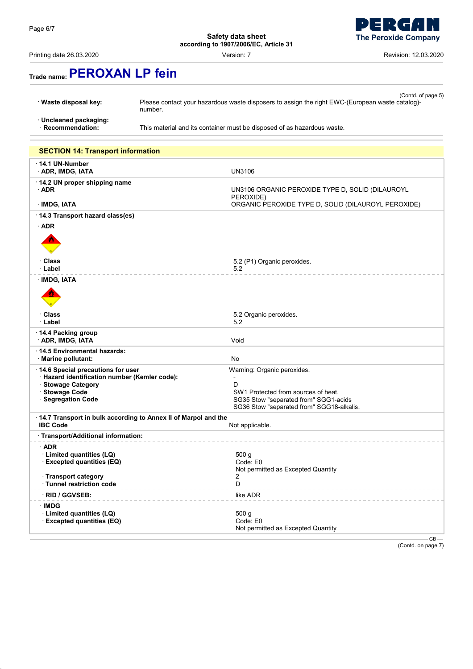Printing date 26.03.2020 Version: 7 Revision: 12.03.2020



# **Trade name:PEROXAN LP fein**

· **Uncleaned packaging:**

This material and its container must be disposed of as hazardous waste.

| <b>SECTION 14: Transport information</b>                                                                                                         |                                                                                                                                                                                 |
|--------------------------------------------------------------------------------------------------------------------------------------------------|---------------------------------------------------------------------------------------------------------------------------------------------------------------------------------|
| $\cdot$ 14.1 UN-Number<br>· ADR, IMDG, IATA                                                                                                      | <b>UN3106</b>                                                                                                                                                                   |
| · 14.2 UN proper shipping name<br>$\cdot$ ADR                                                                                                    | UN3106 ORGANIC PEROXIDE TYPE D, SOLID (DILAUROYL<br>PEROXIDE)                                                                                                                   |
| <b>IMDG, IATA</b>                                                                                                                                | ORGANIC PEROXIDE TYPE D, SOLID (DILAUROYL PEROXIDE)                                                                                                                             |
| 14.3 Transport hazard class(es)                                                                                                                  |                                                                                                                                                                                 |
| $\cdot$ ADR                                                                                                                                      |                                                                                                                                                                                 |
| · Class<br>· Label                                                                                                                               | 5.2 (P1) Organic peroxides.<br>5.2                                                                                                                                              |
| · IMDG, IATA                                                                                                                                     |                                                                                                                                                                                 |
| <b>· Class</b><br>· Label                                                                                                                        | 5.2 Organic peroxides.<br>5.2                                                                                                                                                   |
| · 14.4 Packing group<br><b>ADR, IMDG, IATA</b>                                                                                                   | Void                                                                                                                                                                            |
| 14.5 Environmental hazards:<br>· Marine pollutant:                                                                                               | <b>No</b>                                                                                                                                                                       |
| 14.6 Special precautions for user<br>· Hazard identification number (Kemler code):<br>· Stowage Category<br>· Stowage Code<br>· Segregation Code | Warning: Organic peroxides.<br>$\overline{a}$<br>D<br>SW1 Protected from sources of heat.<br>SG35 Stow "separated from" SGG1-acids<br>SG36 Stow "separated from" SGG18-alkalis. |
| 14.7 Transport in bulk according to Annex II of Marpol and the<br><b>IBC Code</b>                                                                | Not applicable.                                                                                                                                                                 |
| · Transport/Additional information:                                                                                                              |                                                                                                                                                                                 |
| $\cdot$ ADR<br>Limited quantities (LQ)<br>· Excepted quantities (EQ)<br><b>Transport category</b>                                                | 500 g<br>Code: E0<br>Not permitted as Excepted Quantity<br>2                                                                                                                    |
| · Tunnel restriction code                                                                                                                        | D                                                                                                                                                                               |
| · RID / GGVSEB:                                                                                                                                  | like ADR                                                                                                                                                                        |
| <b>IMDG</b><br>Limited quantities (LQ)<br><b>Excepted quantities (EQ)</b>                                                                        | 500 g<br>Code: E0<br>Not permitted as Excepted Quantity                                                                                                                         |
|                                                                                                                                                  | GB                                                                                                                                                                              |

(Contd. on page 7)